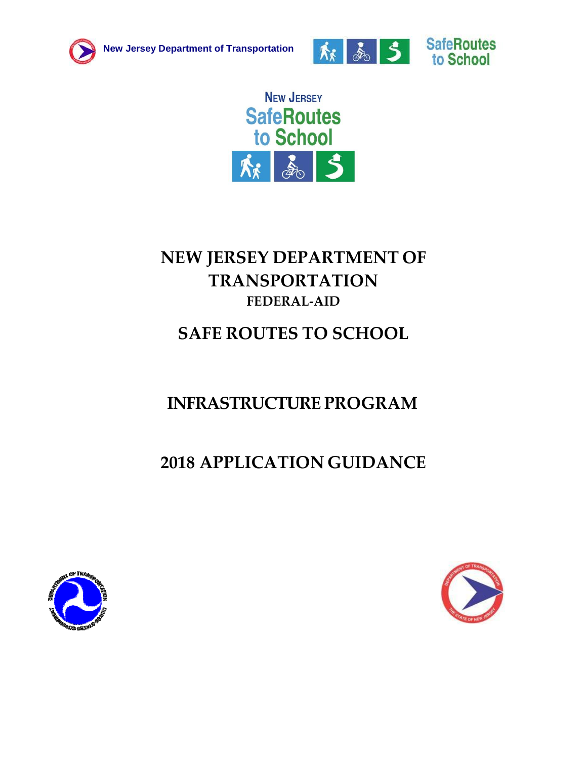





# **NEW JERSEY DEPARTMENT OF TRANSPORTATION FEDERAL‐AID**

# **SAFE ROUTES TO SCHOOL**

# **INFRASTRUCTURE PROGRAM**

# **2018 APPLICATION GUIDANCE**



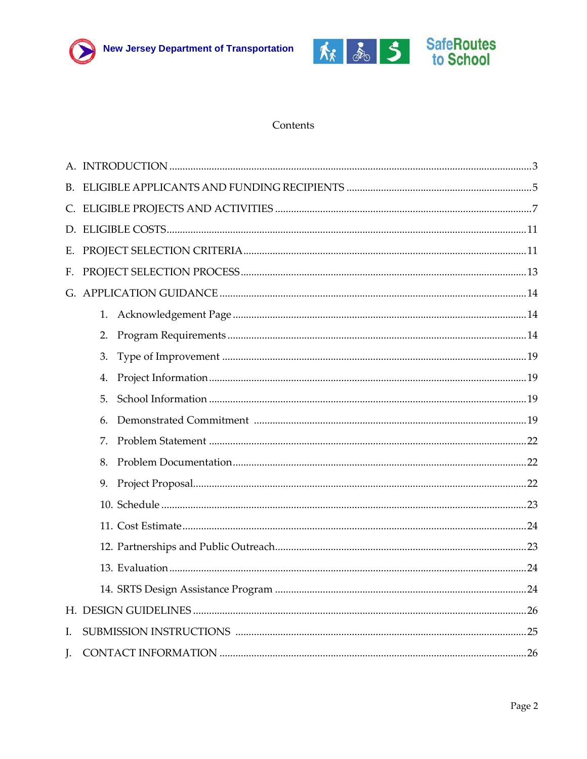



#### Contents

| F. |    |  |
|----|----|--|
|    |    |  |
|    | 1. |  |
|    | 2. |  |
|    | 3. |  |
|    | 4. |  |
|    | 5. |  |
|    | 6. |  |
|    | 7. |  |
|    | 8. |  |
|    | 9. |  |
|    |    |  |
|    |    |  |
|    |    |  |
|    |    |  |
|    |    |  |
|    |    |  |
| I. |    |  |
| J. |    |  |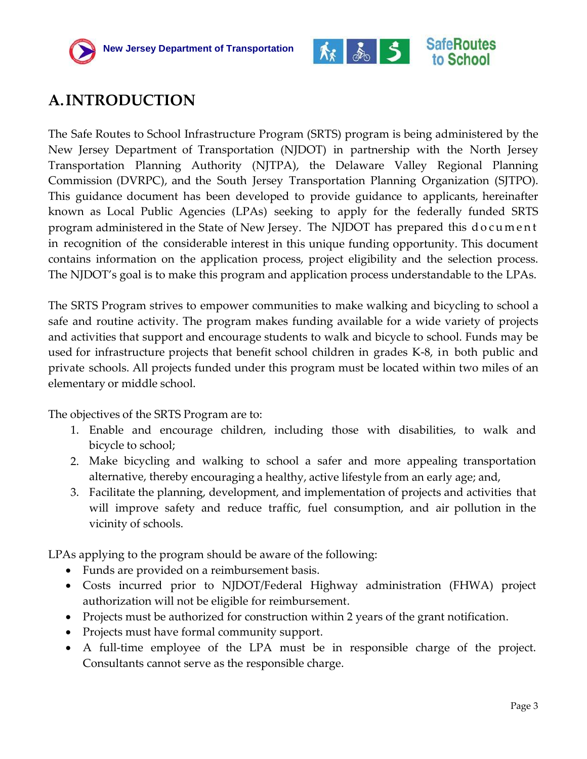



## <span id="page-2-0"></span>**A.INTRODUCTION**

The Safe Routes to School Infrastructure Program (SRTS) program is being administered by the New Jersey Department of Transportation (NJDOT) in partnership with the North Jersey Transportation Planning Authority (NJTPA), the Delaware Valley Regional Planning Commission (DVRPC), and the South Jersey Transportation Planning Organization (SJTPO). This guidance document has been developed to provide guidance to applicants, hereinafter known as Local Public Agencies (LPAs) seeking to apply for the federally funded SRTS program administered in the State of New Jersey. The NJDOT has prepared this d o c u m e n t in recognition of the considerable interest in this unique funding opportunity. This document contains information on the application process, project eligibility and the selection process. The NJDOT's goal is to make this program and application process understandable to the LPAs.

The SRTS Program strives to empower communities to make walking and bicycling to school a safe and routine activity. The program makes funding available for a wide variety of projects and activities that support and encourage students to walk and bicycle to school. Funds may be used for infrastructure projects that benefit school children in grades K‐8, in both public and private schools. All projects funded under this program must be located within two miles of an elementary or middle school.

The objectives of the SRTS Program are to:

- 1. Enable and encourage children, including those with disabilities, to walk and bicycle to school;
- 2. Make bicycling and walking to school a safer and more appealing transportation alternative, thereby encouraging a healthy, active lifestyle from an early age; and,
- 3. Facilitate the planning, development, and implementation of projects and activities that will improve safety and reduce traffic, fuel consumption, and air pollution in the vicinity of schools.

LPAs applying to the program should be aware of the following:

- Funds are provided on a reimbursement basis.
- Costs incurred prior to NJDOT/Federal Highway administration (FHWA) project authorization will not be eligible for reimbursement.
- Projects must be authorized for construction within 2 years of the grant notification.
- Projects must have formal community support.
- A full-time employee of the LPA must be in responsible charge of the project. Consultants cannot serve as the responsible charge.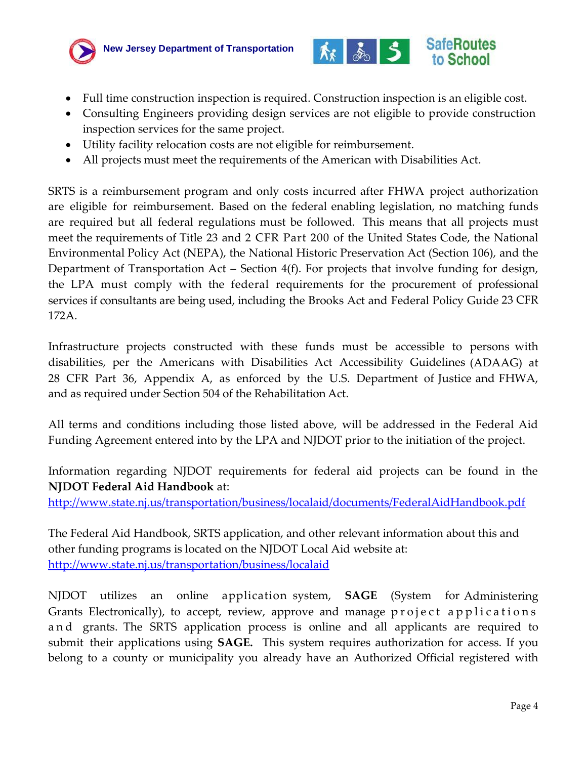



- Full time construction inspection is required. Construction inspection is an eligible cost.
- Consulting Engineers providing design services are not eligible to provide construction inspection services for the same project.
- Utility facility relocation costs are not eligible for reimbursement.
- All projects must meet the requirements of the American with Disabilities Act.

SRTS is a reimbursement program and only costs incurred after FHWA project authorization are eligible for reimbursement. Based on the federal enabling legislation, no matching funds are required but all federal regulations must be followed. This means that all projects must meet the requirements of Title 23 and 2 CFR Part 200 of the United States Code, the National Environmental Policy Act (NEPA), the National Historic Preservation Act (Section 106), and the Department of Transportation Act – Section 4(f). For projects that involve funding for design, the LPA must comply with the federal requirements for the procurement of professional services if consultants are being used, including the Brooks Act and Federal Policy Guide 23 CFR 172A.

Infrastructure projects constructed with these funds must be accessible to persons with disabilities, per the Americans with Disabilities Act Accessibility Guidelines (ADAAG) at 28 CFR Part 36, Appendix A, as enforced by the U.S. Department of Justice and FHWA, and as required under Section 504 of the Rehabilitation Act.

All terms and conditions including those listed above, will be addressed in the Federal Aid Funding Agreement entered into by the LPA and NJDOT prior to the initiation of the project.

Information regarding NJDOT requirements for federal aid projects can be found in the **NJDOT Federal Aid Handbook** at:

<http://www.state.nj.us/transportation/business/localaid/documents/FederalAidHandbook.pdf>

The Federal Aid Handbook, SRTS application, and other relevant information about this and other funding programs is located on the NJDOT Local Aid website at: <http://www.state.nj.us/transportation/business/localaid>

NJDOT utilizes an online application system, **SAGE** (System for Administering Grants Electronically), to accept, review, approve and manage project applications a n d grants. The SRTS application process is online and all applicants are required to submit their applications using **SAGE.** This system requires authorization for access. If you belong to a county or municipality you already have an Authorized Official registered with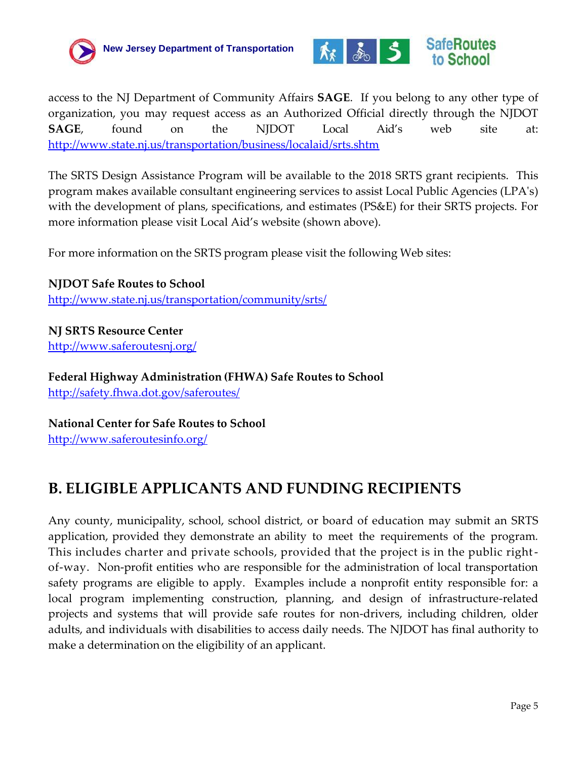



access to the NJ Department of Community Affairs **SAGE**. If you belong to any other type of organization, you may request access as an Authorized Official directly through the NJDOT **SAGE**, found on the NJDOT Local Aid's web site at: <http://www.state.nj.us/transportation/business/localaid/srts.shtm>

The SRTS Design Assistance Program will be available to the 2018 SRTS grant recipients. This program makes available consultant engineering services to assist Local Public Agencies (LPA's) with the development of plans, specifications, and estimates (PS&E) for their SRTS projects. For more information please visit Local Aid's website (shown above).

For more information on the SRTS program please visit the following Web sites:

**NJDOT Safe Routes to School** <http://www.state.nj.us/transportation/community/srts/>

**NJ SRTS Resource Center** <http://www.saferoutesnj.org/>

**Federal Highway Administration (FHWA) Safe Routes to School** <http://safety.fhwa.dot.gov/saferoutes/>

**National Center for Safe Routes to School** <http://www.saferoutesinfo.org/>

## **B. ELIGIBLE APPLICANTS AND FUNDING RECIPIENTS**

Any county, municipality, school, school district, or board of education may submit an SRTS application, provided they demonstrate an ability to meet the requirements of the program*.*  This includes charter and private schools, provided that the project is in the public rightof-way. Non-profit entities who are responsible for the administration of local transportation safety programs are eligible to apply. Examples include a nonprofit entity responsible for: a local program implementing construction, planning, and design of infrastructure-related projects and systems that will provide safe routes for non-drivers, including children, older adults, and individuals with disabilities to access daily needs. The NJDOT has final authority to make a determination on the eligibility of an applicant.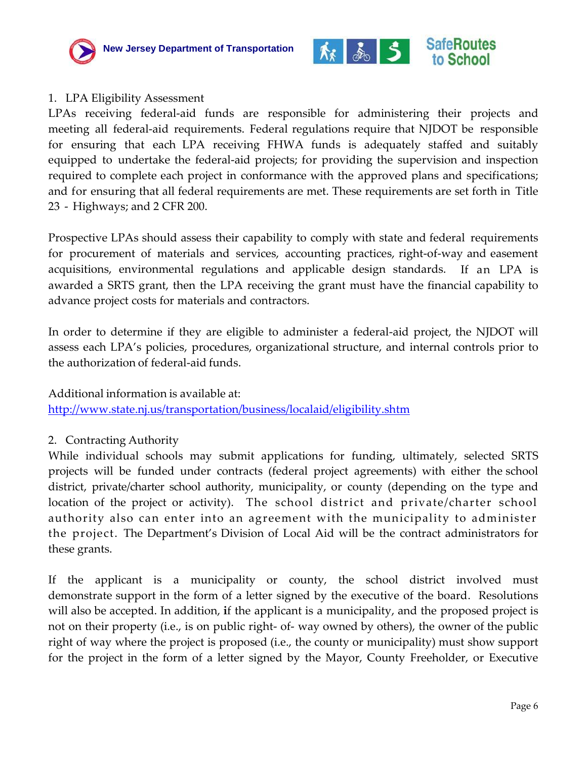



#### 1. LPA Eligibility Assessment

LPAs receiving federal-aid funds are responsible for administering their projects and meeting all federal‐aid requirements. Federal regulations require that NJDOT be responsible for ensuring that each LPA receiving FHWA funds is adequately staffed and suitably equipped to undertake the federal‐aid projects; for providing the supervision and inspection required to complete each project in conformance with the approved plans and specifications; and for ensuring that all federal requirements are met. These requirements are set forth in Title 23 ‐ Highways; and 2 CFR 200.

Prospective LPAs should assess their capability to comply with state and federal requirements for procurement of materials and services, accounting practices, right-of-way and easement acquisitions, environmental regulations and applicable design standards. If an LPA is awarded a SRTS grant, then the LPA receiving the grant must have the financial capability to advance project costs for materials and contractors.

In order to determine if they are eligible to administer a federal-aid project, the NJDOT will assess each LPA's policies, procedures, organizational structure, and internal controls prior to the authorization of federal‐aid funds.

Additional information is available at:

<http://www.state.nj.us/transportation/business/localaid/eligibility.shtm>

#### 2. Contracting Authority

While individual schools may submit applications for funding, ultimately, selected SRTS projects will be funded under contracts (federal project agreements) with either the school district, private/charter school authority, municipality, or county (depending on the type and location of the project or activity). The school district and private/charter school authority also can enter into an agreement with the municipality to administer the project. The Department's Division of Local Aid will be the contract administrators for these grants.

If the applicant is a municipality or county, the school district involved must demonstrate support in the form of a letter signed by the executive of the board. Resolutions will also be accepted. In addition, **i**f the applicant is a municipality, and the proposed project is not on their property (i.e., is on public right- of- way owned by others), the owner of the public right of way where the project is proposed (i.e., the county or municipality) must show support for the project in the form of a letter signed by the Mayor, County Freeholder, or Executive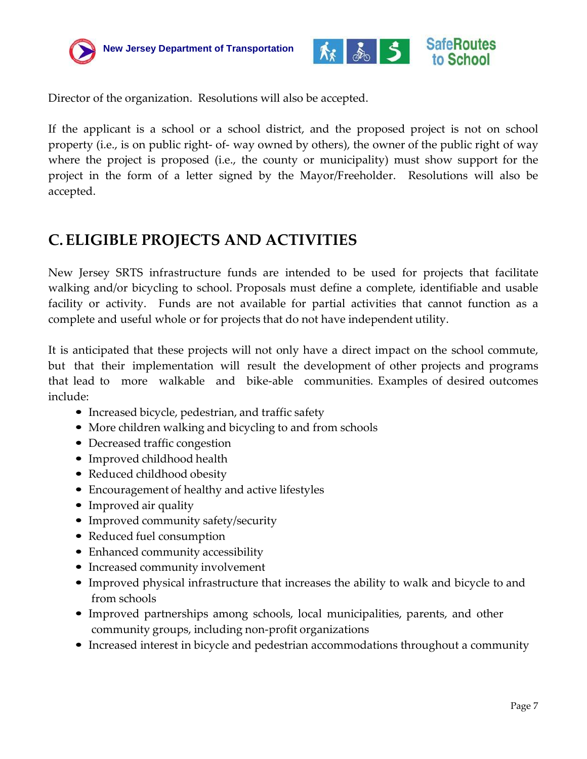



Director of the organization. Resolutions will also be accepted.

If the applicant is a school or a school district, and the proposed project is not on school property (i.e., is on public right- of- way owned by others), the owner of the public right of way where the project is proposed (i.e., the county or municipality) must show support for the project in the form of a letter signed by the Mayor/Freeholder. Resolutions will also be accepted.

## <span id="page-6-0"></span>**C. ELIGIBLE PROJECTS AND ACTIVITIES**

New Jersey SRTS infrastructure funds are intended to be used for projects that facilitate walking and/or bicycling to school. Proposals must define a complete, identifiable and usable facility or activity. Funds are not available for partial activities that cannot function as a complete and useful whole or for projects that do not have independent utility.

It is anticipated that these projects will not only have a direct impact on the school commute, but that their implementation will result the development of other projects and programs that lead to more walkable and bike-able communities. Examples of desired outcomes include:

- Increased bicycle, pedestrian, and traffic safety
- More children walking and bicycling to and from schools
- Decreased traffic congestion
- Improved childhood health
- Reduced childhood obesity
- Encouragement of healthy and active lifestyles
- Improved air quality
- Improved community safety/security
- Reduced fuel consumption
- Enhanced community accessibility
- Increased community involvement
- Improved physical infrastructure that increases the ability to walk and bicycle to and from schools
- Improved partnerships among schools, local municipalities, parents, and other community groups, including non‐profit organizations
- Increased interest in bicycle and pedestrian accommodations throughout a community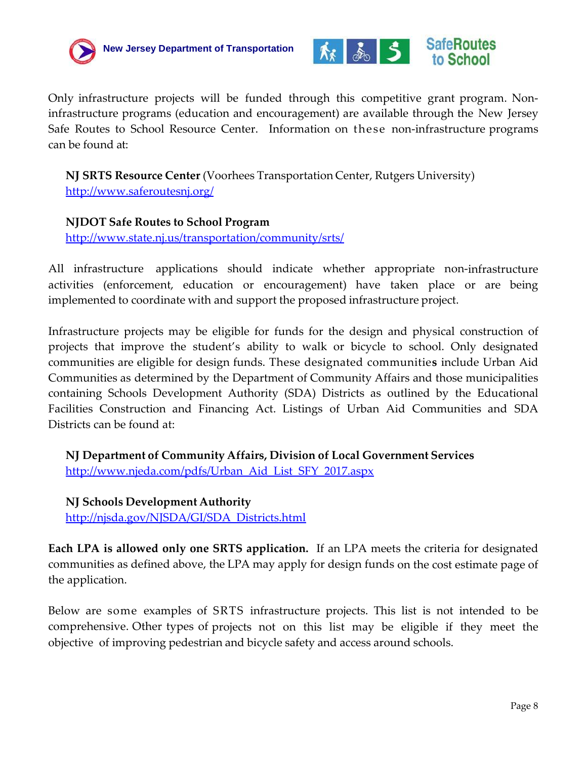



Only infrastructure projects will be funded through this competitive grant program. Non‐ infrastructure programs (education and encouragement) are available through the New Jersey Safe Routes to School Resource Center. Information on these non‐infrastructure programs can be found at:

**NJ SRTS Resource Center** (Voorhees Transportation Center, Rutgers University) <http://www.saferoutesnj.org/>

#### **NJDOT Safe Routes to School Program**

<http://www.state.nj.us/transportation/community/srts/>

All infrastructure applications should indicate whether appropriate non-infrastructure activities (enforcement, education or encouragement) have taken place or are being implemented to coordinate with and support the proposed infrastructure project.

Infrastructure projects may be eligible for funds for the design and physical construction of projects that improve the student's ability to walk or bicycle to school. Only designated communities are eligible for design funds. These designated communitie**s** include Urban Aid Communities as determined by the Department of Community Affairs and those municipalities containing Schools Development Authority (SDA) Districts as outlined by the Educational Facilities Construction and Financing Act. Listings of Urban Aid Communities and SDA Districts can be found at:

**NJ Department of Community Affairs, Division of Local Government Services** [http://www.njeda.com/pdfs/Urban\\_Aid\\_List\\_SFY\\_2017.aspx](http://www.njeda.com/pdfs/Urban_Aid_List_SFY_2017.aspx)

**NJ Schools Development Authority** [http://njsda.gov/NJSDA/GI/SDA\\_Districts.html](http://www.njsda.gov/GI/SDA_Districts.html)

**Each LPA is allowed only one SRTS application.** If an LPA meets the criteria for designated communities as defined above, the LPA may apply for design funds on the cost estimate page of the application.

Below are some examples of SRTS infrastructure projects. This list is not intended to be comprehensive. Other types of projects not on this list may be eligible if they meet the objective of improving pedestrian and bicycle safety and access around schools.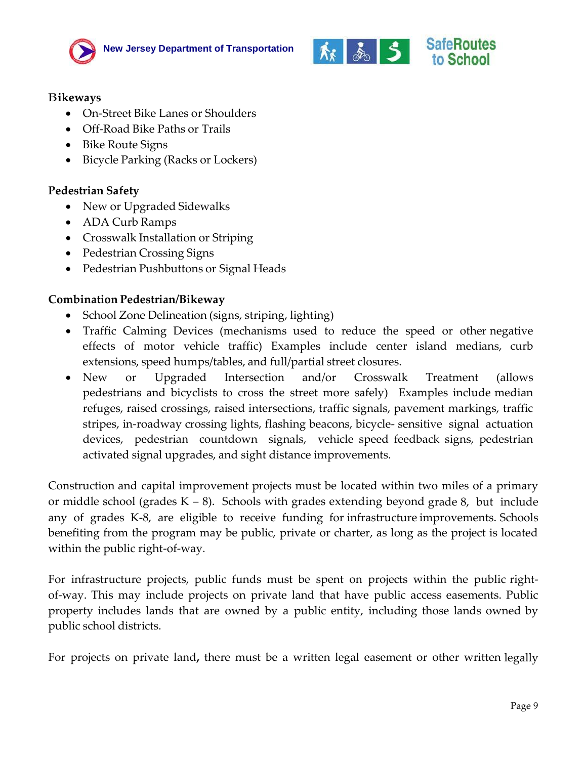



#### B**ikeways**

- On-Street Bike Lanes or Shoulders
- Off-Road Bike Paths or Trails
- Bike Route Signs
- Bicycle Parking (Racks or Lockers)

#### **Pedestrian Safety**

- New or Upgraded Sidewalks
- ADA Curb Ramps
- Crosswalk Installation or Striping
- Pedestrian Crossing Signs
- Pedestrian Pushbuttons or Signal Heads

#### **Combination Pedestrian/Bikeway**

- School Zone Delineation (signs, striping, lighting)
- Traffic Calming Devices (mechanisms used to reduce the speed or other negative effects of motor vehicle traffic) Examples include center island medians, curb extensions, speed humps/tables, and full/partial street closures.
- New or Upgraded Intersection and/or Crosswalk Treatment (allows pedestrians and bicyclists to cross the street more safely) Examples include median refuges, raised crossings, raised intersections, traffic signals, pavement markings, traffic stripes, in‐roadway crossing lights, flashing beacons, bicycle‐ sensitive signal actuation devices, pedestrian countdown signals, vehicle speed feedback signs, pedestrian activated signal upgrades, and sight distance improvements.

Construction and capital improvement projects must be located within two miles of a primary or middle school (grades  $K - 8$ ). Schools with grades extending beyond grade 8, but include any of grades K‐8, are eligible to receive funding for infrastructure improvements. Schools benefiting from the program may be public, private or charter, as long as the project is located within the public right-of-way.

For infrastructure projects, public funds must be spent on projects within the public rightof‐way. This may include projects on private land that have public access easements. Public property includes lands that are owned by a public entity, including those lands owned by public school districts.

For projects on private land**,** there must be a written legal easement or other written legally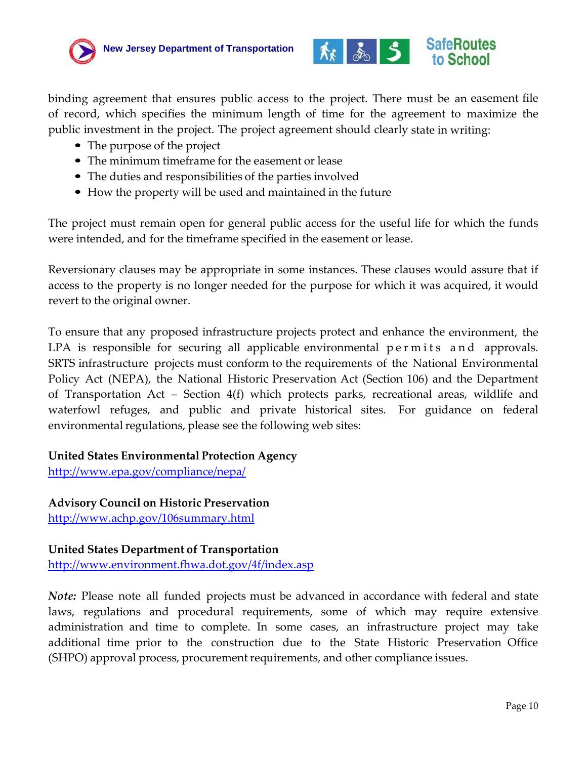



binding agreement that ensures public access to the project. There must be an easement file of record, which specifies the minimum length of time for the agreement to maximize the public investment in the project. The project agreement should clearly state in writing:

- The purpose of the project
- The minimum timeframe for the easement or lease
- The duties and responsibilities of the parties involved
- How the property will be used and maintained in the future

The project must remain open for general public access for the useful life for which the funds were intended, and for the timeframe specified in the easement or lease.

Reversionary clauses may be appropriate in some instances. These clauses would assure that if access to the property is no longer needed for the purpose for which it was acquired, it would revert to the original owner.

To ensure that any proposed infrastructure projects protect and enhance the environment, the LPA is responsible for securing all applicable environmental permits and approvals. SRTS infrastructure projects must conform to the requirements of the National Environmental Policy Act (NEPA), the National Historic Preservation Act (Section 106) and the Department of Transportation Act – Section 4(f) which protects parks, recreational areas, wildlife and waterfowl refuges, and public and private historical sites. For guidance on federal environmental regulations, please see the following web sites:

#### **United States Environmental Protection Agency**

<http://www.epa.gov/compliance/nepa/>

**Advisory Council on Historic Preservation** <http://www.achp.gov/106summary.html>

#### **United States Department of Transportation**

<http://www.environment.fhwa.dot.gov/4f/index.asp>

*Note:* Please note all funded projects must be advanced in accordance with federal and state laws, regulations and procedural requirements, some of which may require extensive administration and time to complete. In some cases, an infrastructure project may take additional time prior to the construction due to the State Historic Preservation Office (SHPO) approval process, procurement requirements, and other compliance issues.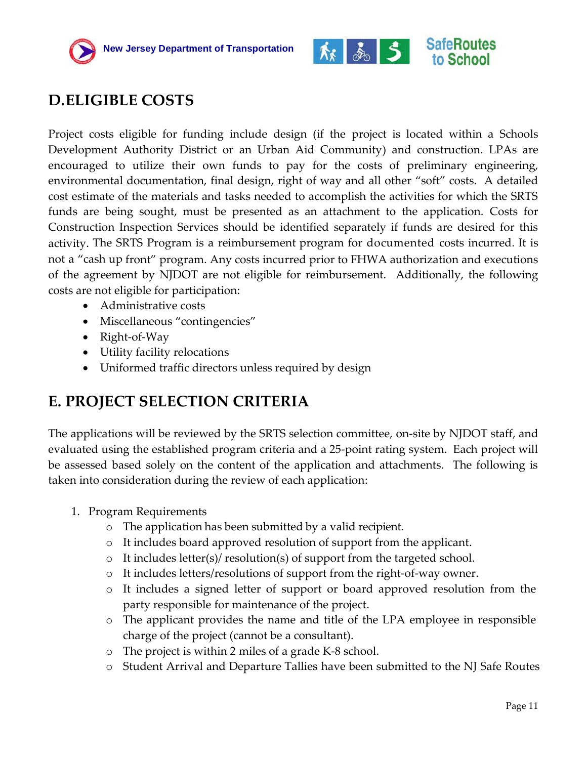



## <span id="page-10-0"></span>**D.ELIGIBLE COSTS**

Project costs eligible for funding include design (if the project is located within a Schools Development Authority District or an Urban Aid Community) and construction. LPAs are encouraged to utilize their own funds to pay for the costs of preliminary engineering, environmental documentation, final design, right of way and all other "soft" costs. A detailed cost estimate of the materials and tasks needed to accomplish the activities for which the SRTS funds are being sought, must be presented as an attachment to the application. Costs for Construction Inspection Services should be identified separately if funds are desired for this activity. The SRTS Program is a reimbursement program for documented costs incurred. It is not a "cash up front" program. Any costs incurred prior to FHWA authorization and executions of the agreement by NJDOT are not eligible for reimbursement. Additionally, the following costs are not eligible for participation:

- Administrative costs
- Miscellaneous "contingencies"
- Right-of-Way
- Utility facility relocations
- Uniformed traffic directors unless required by design

### <span id="page-10-1"></span>**E. PROJECT SELECTION CRITERIA**

The applications will be reviewed by the SRTS selection committee, on-site by NJDOT staff, and evaluated using the established program criteria and a 25-point rating system. Each project will be assessed based solely on the content of the application and attachments. The following is taken into consideration during the review of each application:

- 1. Program Requirements
	- o The application has been submitted by a valid recipient.
	- o It includes board approved resolution of support from the applicant.
	- $\circ$  It includes letter(s)/ resolution(s) of support from the targeted school.
	- o It includes letters/resolutions of support from the right-of-way owner.
	- o It includes a signed letter of support or board approved resolution from the party responsible for maintenance of the project.
	- o The applicant provides the name and title of the LPA employee in responsible charge of the project (cannot be a consultant).
	- o The project is within 2 miles of a grade K-8 school.
	- o Student Arrival and Departure Tallies have been submitted to the NJ Safe Routes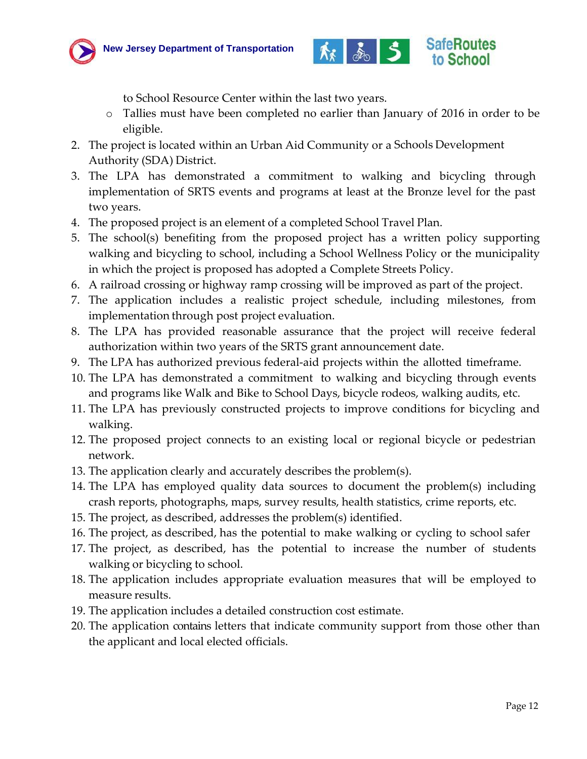



to School Resource Center within the last two years.

- o Tallies must have been completed no earlier than January of 2016 in order to be eligible.
- 2. The project is located within an Urban Aid Community or a Schools Development Authority (SDA) District.
- 3. The LPA has demonstrated a commitment to walking and bicycling through implementation of SRTS events and programs at least at the Bronze level for the past two years.
- 4. The proposed project is an element of a completed School Travel Plan.
- 5. The school(s) benefiting from the proposed project has a written policy supporting walking and bicycling to school, including a School Wellness Policy or the municipality in which the project is proposed has adopted a Complete Streets Policy.
- 6. A railroad crossing or highway ramp crossing will be improved as part of the project.
- 7. The application includes a realistic project schedule, including milestones, from implementation through post project evaluation.
- 8. The LPA has provided reasonable assurance that the project will receive federal authorization within two years of the SRTS grant announcement date.
- 9. The LPA has authorized previous federal-aid projects within the allotted timeframe.
- 10. The LPA has demonstrated a commitment to walking and bicycling through events and programs like Walk and Bike to School Days, bicycle rodeos, walking audits, etc.
- 11. The LPA has previously constructed projects to improve conditions for bicycling and walking.
- 12. The proposed project connects to an existing local or regional bicycle or pedestrian network.
- 13. The application clearly and accurately describes the problem(s).
- 14. The LPA has employed quality data sources to document the problem(s) including crash reports, photographs, maps, survey results, health statistics, crime reports, etc.
- 15. The project, as described, addresses the problem(s) identified.
- 16. The project, as described, has the potential to make walking or cycling to school safer
- 17. The project, as described, has the potential to increase the number of students walking or bicycling to school.
- 18. The application includes appropriate evaluation measures that will be employed to measure results.
- 19. The application includes a detailed construction cost estimate.
- 20. The application contains letters that indicate community support from those other than the applicant and local elected officials.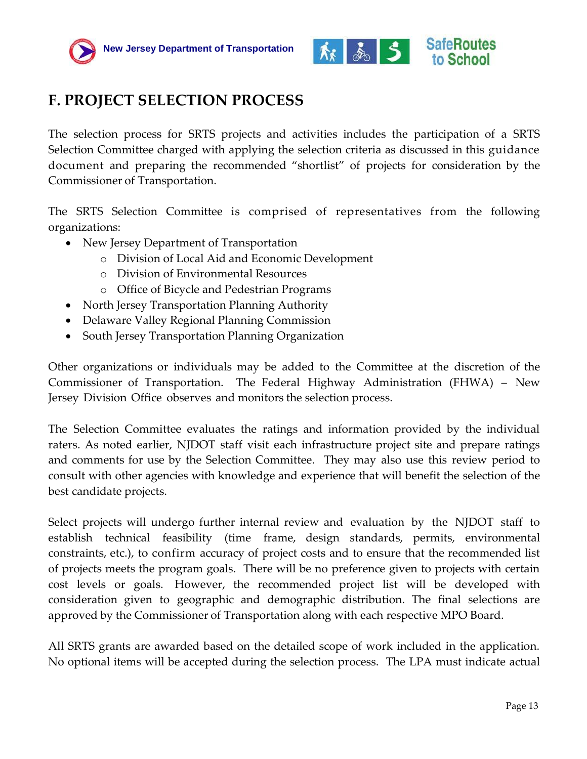



## <span id="page-12-0"></span>**F. PROJECT SELECTION PROCESS**

The selection process for SRTS projects and activities includes the participation of a SRTS Selection Committee charged with applying the selection criteria as discussed in this guidance document and preparing the recommended "shortlist" of projects for consideration by the Commissioner of Transportation.

The SRTS Selection Committee is comprised of representatives from the following organizations:

- New Jersey Department of Transportation
	- o Division of Local Aid and Economic Development
	- o Division of Environmental Resources
	- o Office of Bicycle and Pedestrian Programs
- North Jersey Transportation Planning Authority
- Delaware Valley Regional Planning Commission
- South Jersey Transportation Planning Organization

Other organizations or individuals may be added to the Committee at the discretion of the Commissioner of Transportation. The Federal Highway Administration (FHWA) – New Jersey Division Office observes and monitors the selection process.

The Selection Committee evaluates the ratings and information provided by the individual raters. As noted earlier, NJDOT staff visit each infrastructure project site and prepare ratings and comments for use by the Selection Committee. They may also use this review period to consult with other agencies with knowledge and experience that will benefit the selection of the best candidate projects.

Select projects will undergo further internal review and evaluation by the NJDOT staff to establish technical feasibility (time frame, design standards, permits, environmental constraints, etc.), to confirm accuracy of project costs and to ensure that the recommended list of projects meets the program goals. There will be no preference given to projects with certain cost levels or goals. However, the recommended project list will be developed with consideration given to geographic and demographic distribution. The final selections are approved by the Commissioner of Transportation along with each respective MPO Board.

All SRTS grants are awarded based on the detailed scope of work included in the application. No optional items will be accepted during the selection process. The LPA must indicate actual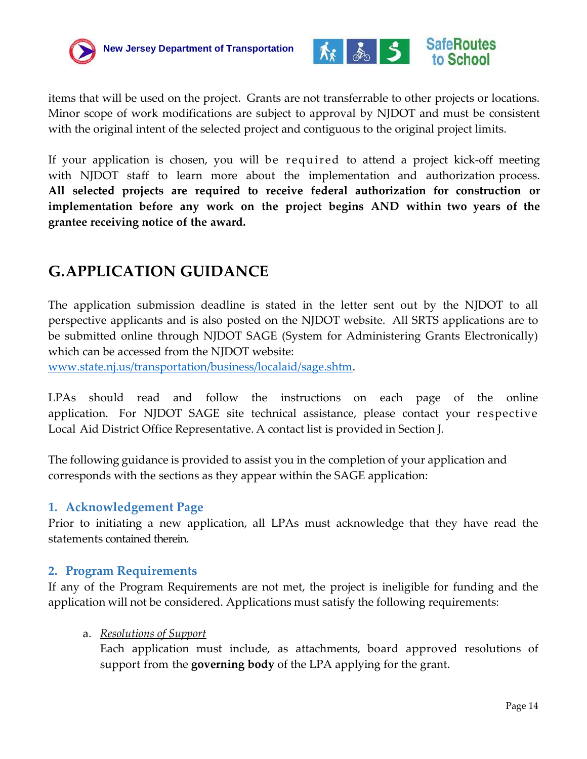



items that will be used on the project. Grants are not transferrable to other projects or locations. Minor scope of work modifications are subject to approval by NJDOT and must be consistent with the original intent of the selected project and contiguous to the original project limits.

If your application is chosen, you will be required to attend a project kick‐off meeting with NJDOT staff to learn more about the implementation and authorization process. **All selected projects are required to receive federal authorization for construction or implementation before any work on the project begins AND within two years of the grantee receiving notice of the award.** 

## <span id="page-13-0"></span>**G.APPLICATION GUIDANCE**

The application submission deadline is stated in the letter sent out by the NJDOT to all perspective applicants and is also posted on the NJDOT website. All SRTS applications are to be submitted online through NJDOT SAGE (System for Administering Grants Electronically) which can be accessed from the NJDOT website:

[www.state.nj.us/transportation/business/localaid/sage.shtm.](http://www.state.nj.us/transportation/business/localaid/sage.shtm)

LPAs should read and follow the instructions on each page of the online application. For NJDOT SAGE site technical assistance, please contact your respective Local Aid District Office Representative. A contact list is provided in Section J.

The following guidance is provided to assist you in the completion of your application and corresponds with the sections as they appear within the SAGE application:

#### <span id="page-13-1"></span>**1. Acknowledgement Page**

Prior to initiating a new application, all LPAs must acknowledge that they have read the statements contained therein.

#### <span id="page-13-2"></span>**2. Program Requirements**

If any of the Program Requirements are not met, the project is ineligible for funding and the application will not be considered. Applications must satisfy the following requirements:

#### a. *Resolutions of Support*

Each application must include, as attachments, board approved resolutions of support from the **governing body** of the LPA applying for the grant.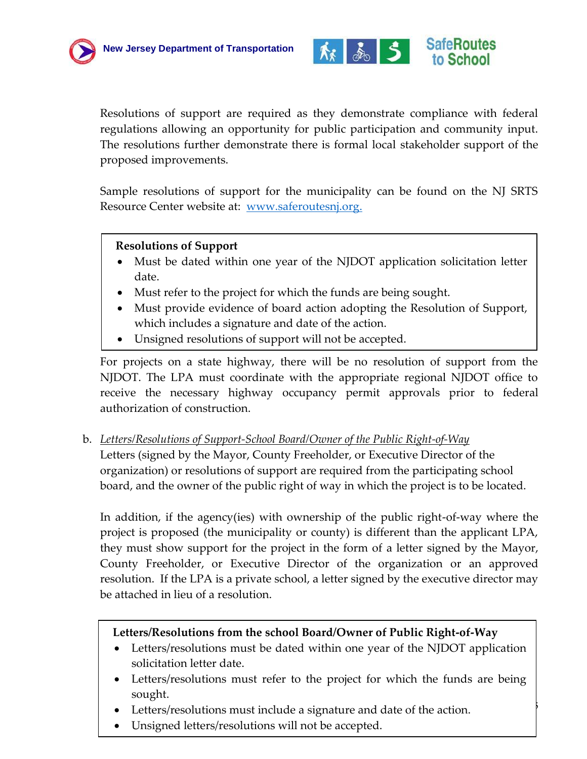



Resolutions of support are required as they demonstrate compliance with federal regulations allowing an opportunity for public participation and community input. The resolutions further demonstrate there is formal local stakeholder support of the proposed improvements.

Sample resolutions of support for the municipality can be found on the NJ SRTS Resource Center website at: [www.saferoutesnj.org.](http://www.saferoutesnj.org/)

#### **Resolutions of Support**

- Must be dated within one year of the NJDOT application solicitation letter date.
- Must refer to the project for which the funds are being sought.
- Must provide evidence of board action adopting the Resolution of Support, which includes a signature and date of the action.
- Unsigned resolutions of support will not be accepted.

For projects on a state highway, there will be no resolution of support from the NJDOT. The LPA must coordinate with the appropriate regional NJDOT office to receive the necessary highway occupancy permit approvals prior to federal authorization of construction.

b. *Letters/Resolutions of Support-School Board/Owner of the Public Right-of-Way* Letters (signed by the Mayor, County Freeholder, or Executive Director of the organization) or resolutions of support are required from the participating school board, and the owner of the public right of way in which the project is to be located.

In addition, if the agency(ies) with ownership of the public right-of-way where the project is proposed (the municipality or county) is different than the applicant LPA, they must show support for the project in the form of a letter signed by the Mayor, County Freeholder, or Executive Director of the organization or an approved resolution. If the LPA is a private school, a letter signed by the executive director may be attached in lieu of a resolution.

#### **Letters/Resolutions from the school Board/Owner of Public Right-of-Way**

- Letters/resolutions must be dated within one year of the NJDOT application solicitation letter date.
- Letters/resolutions must refer to the project for which the funds are being sought.

Page 15

- Letters/resolutions must include a signature and date of the action.
- Unsigned letters/resolutions will not be accepted.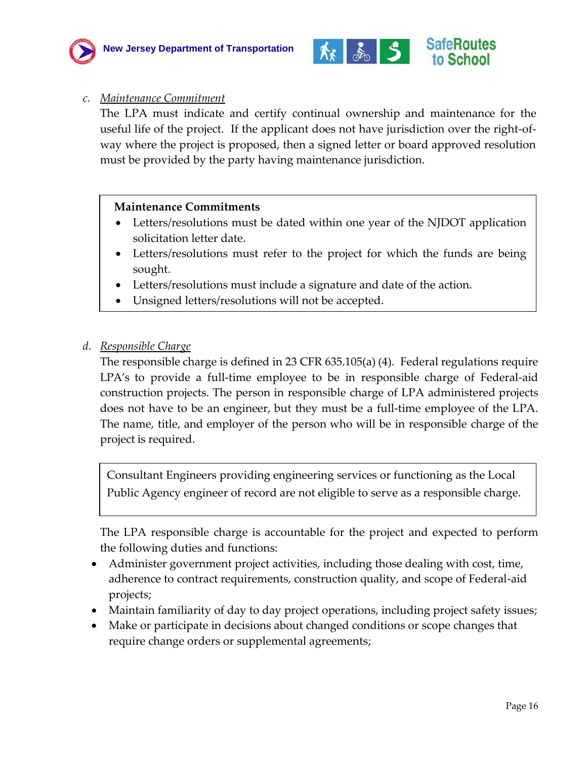



#### *c. Maintenance Commitment*

The LPA must indicate and certify continual ownership and maintenance for the useful life of the project. If the applicant does not have jurisdiction over the right-ofway where the project is proposed, then a signed letter or board approved resolution must be provided by the party having maintenance jurisdiction.

#### **Maintenance Commitments**

- Letters/resolutions must be dated within one year of the NJDOT application solicitation letter date.
- Letters/resolutions must refer to the project for which the funds are being sought.
- Letters/resolutions must include a signature and date of the action.
- Unsigned letters/resolutions will not be accepted.

#### *d. Responsible Charge*

The responsible charge is defined in 23 CFR 635.105(a) (4). Federal regulations require LPA's to provide a full-time employee to be in responsible charge of Federal-aid construction projects. The person in responsible charge of LPA administered projects does not have to be an engineer, but they must be a full-time employee of the LPA. The name, title, and employer of the person who will be in responsible charge of the project is required.

Consultant Engineers providing engineering services or functioning as the Local Public Agency engineer of record are not eligible to serve as a responsible charge.

The LPA responsible charge is accountable for the project and expected to perform the following duties and functions:

- Administer government project activities, including those dealing with cost, time, adherence to contract requirements, construction quality, and scope of Federal-aid projects;
- Maintain familiarity of day to day project operations, including project safety issues;
- Make or participate in decisions about changed conditions or scope changes that require change orders or supplemental agreements;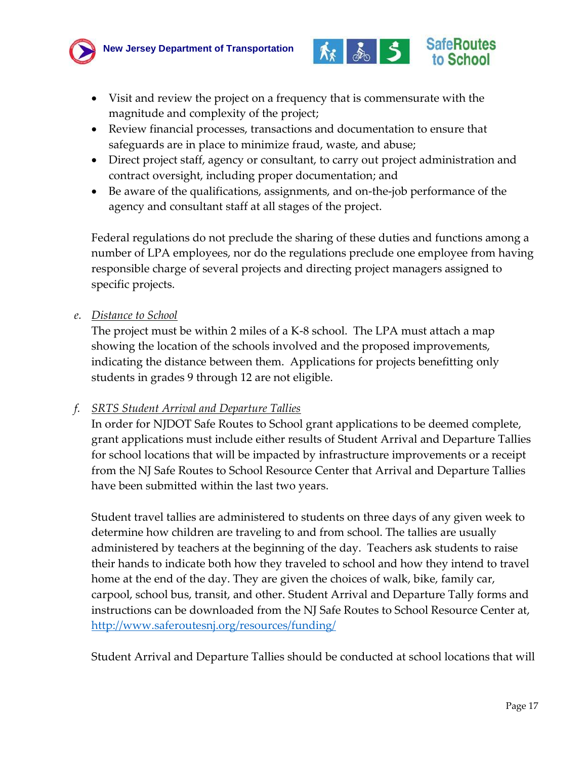



- Visit and review the project on a frequency that is commensurate with the magnitude and complexity of the project;
- Review financial processes, transactions and documentation to ensure that safeguards are in place to minimize fraud, waste, and abuse;
- Direct project staff, agency or consultant, to carry out project administration and contract oversight, including proper documentation; and
- Be aware of the qualifications, assignments, and on-the-job performance of the agency and consultant staff at all stages of the project.

Federal regulations do not preclude the sharing of these duties and functions among a number of LPA employees, nor do the regulations preclude one employee from having responsible charge of several projects and directing project managers assigned to specific projects.

#### *e. Distance to School*

The project must be within 2 miles of a K-8 school. The LPA must attach a map showing the location of the schools involved and the proposed improvements, indicating the distance between them. Applications for projects benefitting only students in grades 9 through 12 are not eligible.

#### *f. SRTS Student Arrival and Departure Tallies*

In order for NJDOT Safe Routes to School grant applications to be deemed complete, grant applications must include either results of Student Arrival and Departure Tallies for school locations that will be impacted by infrastructure improvements or a receipt from the NJ Safe Routes to School Resource Center that Arrival and Departure Tallies have been submitted within the last two years.

Student travel tallies are administered to students on three days of any given week to determine how children are traveling to and from school. The tallies are usually administered by teachers at the beginning of the day. Teachers ask students to raise their hands to indicate both how they traveled to school and how they intend to travel home at the end of the day. They are given the choices of walk, bike, family car, carpool, school bus, transit, and other. Student Arrival and Departure Tally forms and instructions can be downloaded from the NJ Safe Routes to School Resource Center at, <http://www.saferoutesnj.org/resources/funding/>

Student Arrival and Departure Tallies should be conducted at school locations that will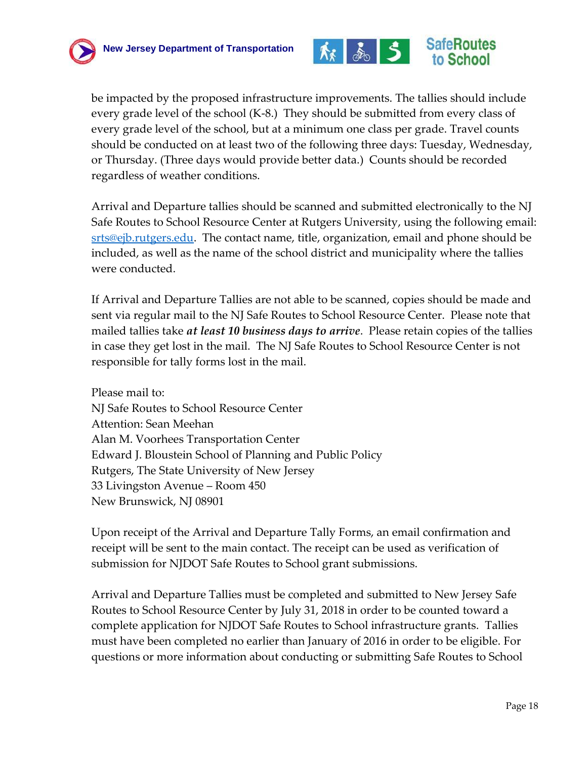



be impacted by the proposed infrastructure improvements. The tallies should include every grade level of the school (K-8.) They should be submitted from every class of every grade level of the school, but at a minimum one class per grade. Travel counts should be conducted on at least two of the following three days: Tuesday, Wednesday, or Thursday. (Three days would provide better data.) Counts should be recorded regardless of weather conditions.

Arrival and Departure tallies should be scanned and submitted electronically to the NJ Safe Routes to School Resource Center at Rutgers University, using the following email: [srts@ejb.rutgers.edu.](mailto:srts@ejb.rutgers.edu) The contact name, title, organization, email and phone should be included, as well as the name of the school district and municipality where the tallies were conducted.

If Arrival and Departure Tallies are not able to be scanned, copies should be made and sent via regular mail to the NJ Safe Routes to School Resource Center. Please note that mailed tallies take *at least 10 business days to arrive*. Please retain copies of the tallies in case they get lost in the mail. The NJ Safe Routes to School Resource Center is not responsible for tally forms lost in the mail.

Please mail to: NJ Safe Routes to School Resource Center Attention: Sean Meehan Alan M. Voorhees Transportation Center Edward J. Bloustein School of Planning and Public Policy Rutgers, The State University of New Jersey 33 Livingston Avenue – Room 450 New Brunswick, NJ 08901

Upon receipt of the Arrival and Departure Tally Forms, an email confirmation and receipt will be sent to the main contact. The receipt can be used as verification of submission for NJDOT Safe Routes to School grant submissions.

Arrival and Departure Tallies must be completed and submitted to New Jersey Safe Routes to School Resource Center by July 31, 2018 in order to be counted toward a complete application for NJDOT Safe Routes to School infrastructure grants. Tallies must have been completed no earlier than January of 2016 in order to be eligible. For questions or more information about conducting or submitting Safe Routes to School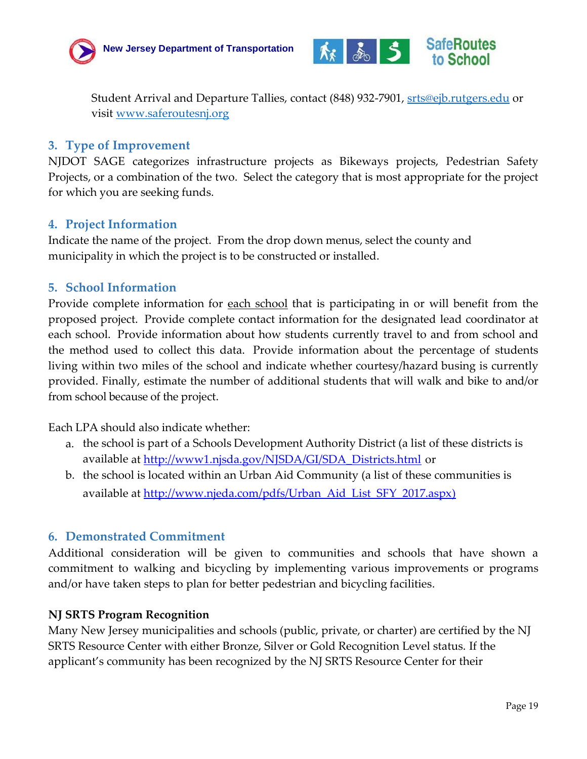



Student Arrival and Departure Tallies, contact (848) 932-7901, <u>srts@ejb.rutgers.edu</u> or visit [www.saferoutesnj.org](http://www.saferoutesnj.org/)

#### <span id="page-18-0"></span>**3. Type of Improvement**

NJDOT SAGE categorizes infrastructure projects as Bikeways projects, Pedestrian Safety Projects, or a combination of the two. Select the category that is most appropriate for the project for which you are seeking funds.

#### <span id="page-18-1"></span>**4. Project Information**

Indicate the name of the project. From the drop down menus, select the county and municipality in which the project is to be constructed or installed.

#### <span id="page-18-2"></span>**5. School Information**

Provide complete information for <u>each school</u> that is participating in or will benefit from the proposed project. Provide complete contact information for the designated lead coordinator at each school. Provide information about how students currently travel to and from school and the method used to collect this data. Provide information about the percentage of students living within two miles of the school and indicate whether courtesy/hazard busing is currently provided. Finally, estimate the number of additional students that will walk and bike to and/or from school because of the project.

Each LPA should also indicate whether:

- a. the school is part of a Schools Development Authority District (a list of these districts is available at [http://www1.njsda.gov/NJSDA/GI/SDA\\_Districts.html](http://www1.njsda.gov/NJSDA/GI/SDA_Districts.html) or
- b. the school is located within an Urban Aid Community (a list of these communities is available at [http://www.njeda.com/pdfs/Urban\\_Aid\\_List\\_SFY\\_2017.aspx\)](http://www.njeda.com/pdfs/Urban_Aid_List_SFY_2017.aspx)

#### <span id="page-18-3"></span>**6. Demonstrated Commitment**

Additional consideration will be given to communities and schools that have shown a commitment to walking and bicycling by implementing various improvements or programs and/or have taken steps to plan for better pedestrian and bicycling facilities.

#### **NJ SRTS Program Recognition**

Many New Jersey municipalities and schools (public, private, or charter) are certified by the NJ SRTS Resource Center with either Bronze, Silver or Gold Recognition Level status. If the applicant's community has been recognized by the NJ SRTS Resource Center for their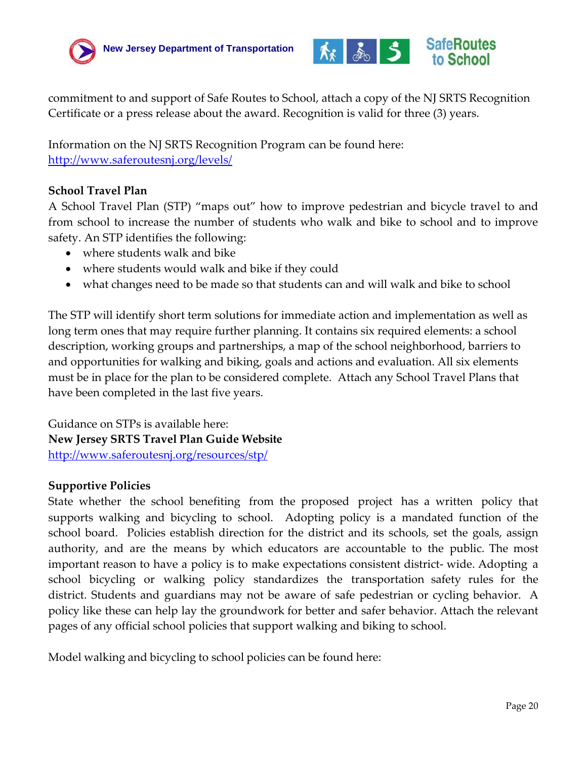



commitment to and support of Safe Routes to School, attach a copy of the NJ SRTS Recognition Certificate or a press release about the award. Recognition is valid for three (3) years.

Information on the NJ SRTS Recognition Program can be found here: <http://www.saferoutesnj.org/levels/>

#### **School Travel Plan**

A School Travel Plan (STP) "maps out" how to improve pedestrian and bicycle travel to and from school to increase the number of students who walk and bike to school and to improve safety. An STP identifies the following:

- where students walk and bike
- where students would walk and bike if they could
- what changes need to be made so that students can and will walk and bike to school

The STP will identify short term solutions for immediate action and implementation as well as long term ones that may require further planning. It contains six required elements: a school description, working groups and partnerships, a map of the school neighborhood, barriers to and opportunities for walking and biking, goals and actions and evaluation. All six elements must be in place for the plan to be considered complete. Attach any School Travel Plans that have been completed in the last five years.

Guidance on STPs is available here: **New Jersey SRTS Travel Plan Guide Website** <http://www.saferoutesnj.org/resources/stp/>

#### **Supportive Policies**

State whether the school benefiting from the proposed project has a written policy that supports walking and bicycling to school. Adopting policy is a mandated function of the school board. Policies establish direction for the district and its schools, set the goals, assign authority, and are the means by which educators are accountable to the public. The most important reason to have a policy is to make expectations consistent district-wide. Adopting a school bicycling or walking policy standardizes the transportation safety rules for the district. Students and guardians may not be aware of safe pedestrian or cycling behavior. A policy like these can help lay the groundwork for better and safer behavior. Attach the relevant pages of any official school policies that support walking and biking to school.

Model walking and bicycling to school policies can be found here: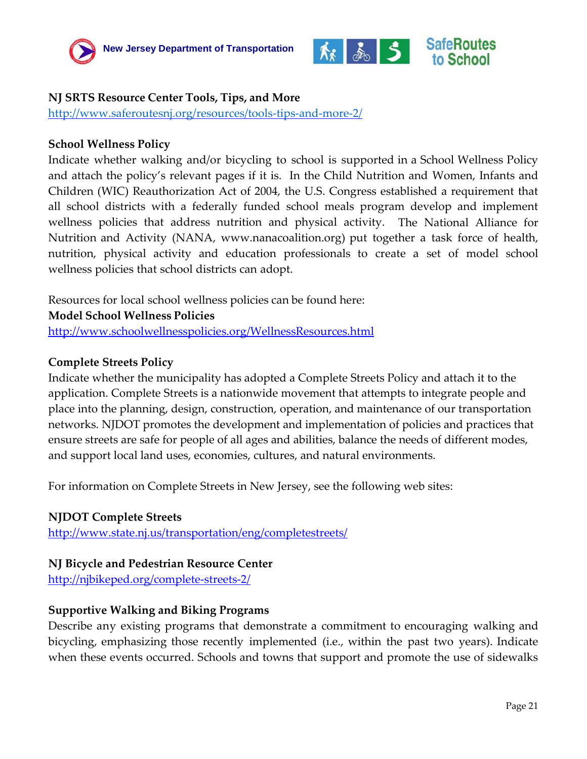



#### **NJ SRTS Resource Center Tools, Tips, and More**

<http://www.saferoutesnj.org/resources/tools-tips-and-more-2/>

#### **School Wellness Policy**

Indicate whether walking and/or bicycling to school is supported in a School Wellness Policy and attach the policy's relevant pages if it is. In the Child Nutrition and Women, Infants and Children (WIC) Reauthorization Act of 2004, the U.S. Congress established a requirement that all school districts with a federally funded school meals program develop and implement wellness policies that address nutrition and physical activity. The National Alliance for Nutrition and Activity (NANA, www.nanacoalition.org) put together a task force of health, nutrition, physical activity and education professionals to create a set of model school wellness policies that school districts can adopt.

Resources for local school wellness policies can be found here: **Model School Wellness Policies** <http://www.schoolwellnesspolicies.org/WellnessResources.html>

#### **Complete Streets Policy**

Indicate whether the municipality has adopted a Complete Streets Policy and attach it to the application. Complete Streets is a nationwide movement that attempts to integrate people and place into the planning, design, construction, operation, and maintenance of our transportation networks. NJDOT promotes the development and implementation of policies and practices that ensure streets are safe for people of all ages and abilities, balance the needs of different modes, and support local land uses, economies, cultures, and natural environments.

For information on Complete Streets in New Jersey, see the following web sites:

#### **NJDOT Complete Streets**

<http://www.state.nj.us/transportation/eng/completestreets/>

#### **NJ Bicycle and Pedestrian Resource Center**

<http://njbikeped.org/complete-streets-2/>

#### **Supportive Walking and Biking Programs**

Describe any existing programs that demonstrate a commitment to encouraging walking and bicycling, emphasizing those recently implemented (i.e., within the past two years). Indicate when these events occurred. Schools and towns that support and promote the use of sidewalks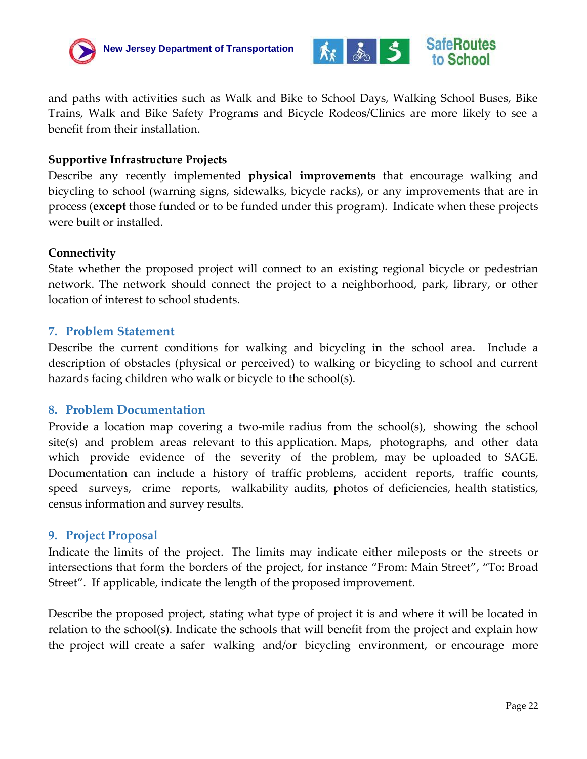



and paths with activities such as Walk and Bike to School Days, Walking School Buses, Bike Trains, Walk and Bike Safety Programs and Bicycle Rodeos/Clinics are more likely to see a benefit from their installation.

#### **Supportive Infrastructure Projects**

Describe any recently implemented **physical improvements** that encourage walking and bicycling to school (warning signs, sidewalks, bicycle racks), or any improvements that are in process (**except** those funded or to be funded under this program). Indicate when these projects were built or installed.

#### **Connectivity**

State whether the proposed project will connect to an existing regional bicycle or pedestrian network. The network should connect the project to a neighborhood, park, library, or other location of interest to school students.

#### <span id="page-21-0"></span>**7. Problem Statement**

Describe the current conditions for walking and bicycling in the school area. Include a description of obstacles (physical or perceived) to walking or bicycling to school and current hazards facing children who walk or bicycle to the school(s).

#### <span id="page-21-1"></span>**8. Problem Documentation**

Provide a location map covering a two-mile radius from the school(s), showing the school site(s) and problem areas relevant to this application. Maps, photographs, and other data which provide evidence of the severity of the problem, may be uploaded to SAGE. Documentation can include a history of traffic problems, accident reports, traffic counts, speed surveys, crime reports, walkability audits, photos of deficiencies, health statistics, census information and survey results.

#### <span id="page-21-2"></span>**9. Project Proposal**

Indicate the limits of the project. The limits may indicate either mileposts or the streets or intersections that form the borders of the project, for instance "From: Main Street", "To: Broad Street". If applicable, indicate the length of the proposed improvement.

Describe the proposed project, stating what type of project it is and where it will be located in relation to the school(s). Indicate the schools that will benefit from the project and explain how the project will create a safer walking and/or bicycling environment, or encourage more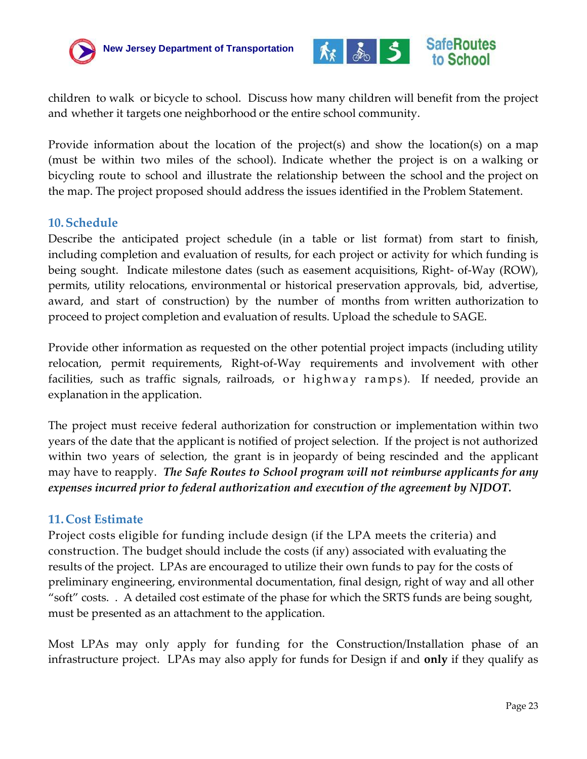



children to walk or bicycle to school. Discuss how many children will benefit from the project and whether it targets one neighborhood or the entire school community.

Provide information about the location of the project(s) and show the location(s) on a map (must be within two miles of the school). Indicate whether the project is on a walking or bicycling route to school and illustrate the relationship between the school and the project on the map. The project proposed should address the issues identified in the Problem Statement.

#### <span id="page-22-0"></span>**10.Schedule**

Describe the anticipated project schedule (in a table or list format) from start to finish, including completion and evaluation of results, for each project or activity for which funding is being sought. Indicate milestone dates (such as easement acquisitions, Right‐ of‐Way (ROW), permits, utility relocations, environmental or historical preservation approvals, bid, advertise, award, and start of construction) by the number of months from written authorization to proceed to project completion and evaluation of results. Upload the schedule to SAGE.

Provide other information as requested on the other potential project impacts (including utility relocation, permit requirements, Right‐of‐Way requirements and involvement with other facilities, such as traffic signals, railroads, or highway ramps ). If needed, provide an explanation in the application.

The project must receive federal authorization for construction or implementation within two years of the date that the applicant is notified of project selection. If the project is not authorized within two years of selection, the grant is in jeopardy of being rescinded and the applicant may have to reapply. *The Safe Routes to School program will not reimburse applicants for any expenses incurred prior to federal authorization and execution of the agreement by NJDOT.*

#### **11.Cost Estimate**

Project costs eligible for funding include design (if the LPA meets the criteria) and construction. The budget should include the costs (if any) associated with evaluating the results of the project. LPAs are encouraged to utilize their own funds to pay for the costs of preliminary engineering, environmental documentation, final design, right of way and all other "soft" costs. . A detailed cost estimate of the phase for which the SRTS funds are being sought, must be presented as an attachment to the application.

Most LPAs may only apply for funding for the Construction/Installation phase of an infrastructure project. LPAs may also apply for funds for Design if and **only** if they qualify as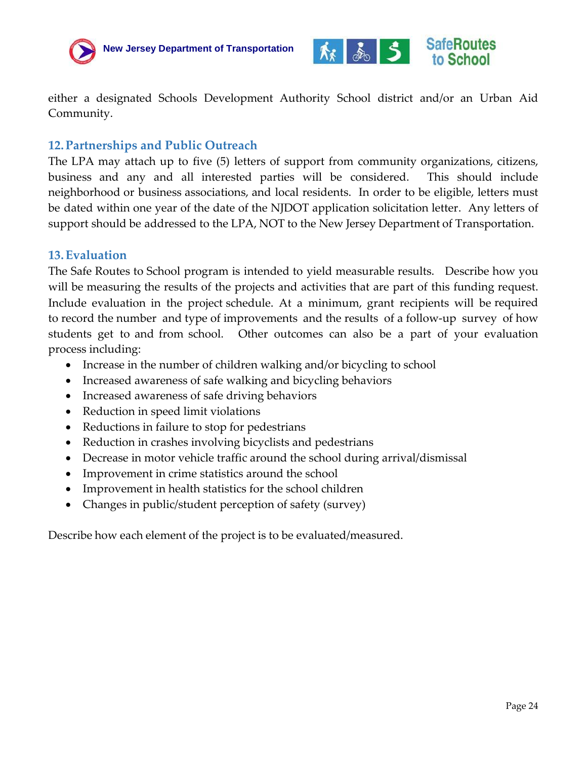



either a designated Schools Development Authority School district and/or an Urban Aid Community.

#### **12.Partnerships and Public Outreach**

The LPA may attach up to five (5) letters of support from community organizations, citizens, business and any and all interested parties will be considered. This should include neighborhood or business associations, and local residents. In order to be eligible, letters must be dated within one year of the date of the NJDOT application solicitation letter. Any letters of support should be addressed to the LPA, NOT to the New Jersey Department of Transportation.

#### <span id="page-23-0"></span>**13.Evaluation**

The Safe Routes to School program is intended to yield measurable results. Describe how you will be measuring the results of the projects and activities that are part of this funding request. Include evaluation in the project schedule. At a minimum, grant recipients will be required to record the number and type of improvements and the results of a follow-up survey of how students get to and from school. Other outcomes can also be a part of your evaluation process including:

- Increase in the number of children walking and/or bicycling to school
- Increased awareness of safe walking and bicycling behaviors
- Increased awareness of safe driving behaviors
- Reduction in speed limit violations
- Reductions in failure to stop for pedestrians
- Reduction in crashes involving bicyclists and pedestrians
- Decrease in motor vehicle traffic around the school during arrival/dismissal
- Improvement in crime statistics around the school
- Improvement in health statistics for the school children
- Changes in public/student perception of safety (survey)

Describe how each element of the project is to be evaluated/measured.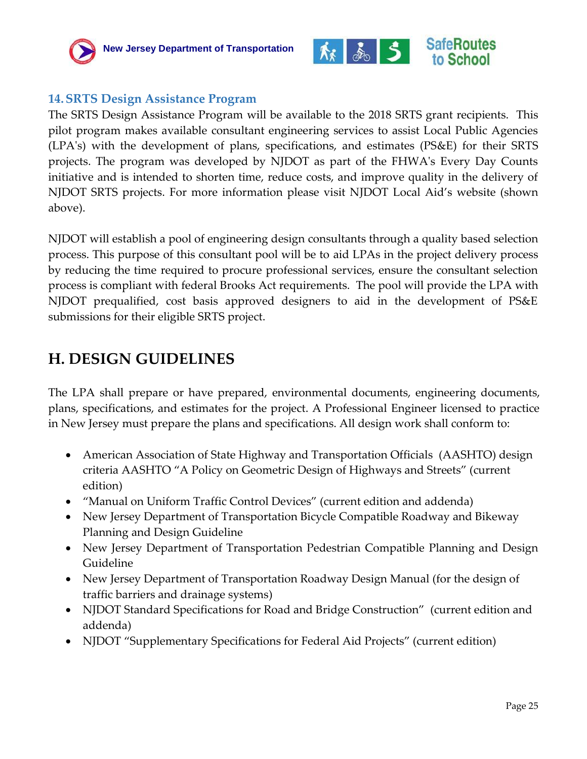



#### <span id="page-24-0"></span>**14.SRTS Design Assistance Program**

The [SRTS Design Assistance Program](http://www.state.nj.us/transportation/business/localaid/documents/SRTSDesignAssistProg.pdf) will be available to the 2018 SRTS grant recipients. This pilot program makes available consultant engineering services to assist Local Public Agencies (LPA's) with the development of plans, specifications, and estimates (PS&E) for their SRTS projects. The program was developed by NJDOT as part of the FHWA's Every Day Counts initiative and is intended to shorten time, reduce costs, and improve quality in the delivery of NJDOT SRTS projects. For more information please visit NJDOT Local Aid's website (shown above).

NJDOT will establish a pool of engineering design consultants through a quality based selection process. This purpose of this consultant pool will be to aid LPAs in the project delivery process by reducing the time required to procure professional services, ensure the consultant selection process is compliant with federal Brooks Act requirements. The pool will provide the LPA with NJDOT prequalified, cost basis approved designers to aid in the development of PS&E submissions for their eligible SRTS project.

### **H. DESIGN GUIDELINES**

The LPA shall prepare or have prepared, environmental documents, engineering documents, plans, specifications, and estimates for the project. A Professional Engineer licensed to practice in New Jersey must prepare the plans and specifications. All design work shall conform to:

- American Association of State Highway and Transportation Officials (AASHTO) design criteria AASHTO "A Policy on Geometric Design of Highways and Streets" (current edition)
- "Manual on Uniform Traffic Control Devices" (current edition and addenda)
- New Jersey Department of Transportation Bicycle Compatible Roadway and Bikeway Planning and Design Guideline
- New Jersey Department of Transportation Pedestrian Compatible Planning and Design Guideline
- New Jersey Department of Transportation Roadway Design Manual (for the design of traffic barriers and drainage systems)
- NJDOT Standard Specifications for Road and Bridge Construction" (current edition and addenda)
- NJDOT "Supplementary Specifications for Federal Aid Projects" (current edition)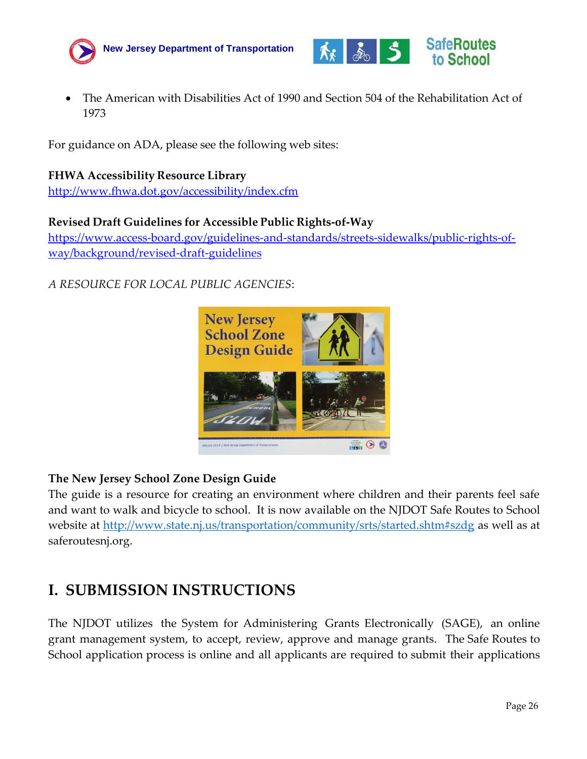



 The American with Disabilities Act of 1990 and Section 504 of the Rehabilitation Act of 1973

For guidance on ADA, please see the following web sites:

#### **FHWA Accessibility Resource Library**

<http://www.fhwa.dot.gov/accessibility/index.cfm>

#### **Revised Draft Guidelines for Accessible Public Rights‐of‐Way**

https://www.access-board.gov/guidelines-and-standards/streets-sidewalks/public-rights-ofway/background/revised-draft-guidelines

#### *A RESOURCE FOR LOCAL PUBLIC AGENCIES*:



#### **The New Jersey School Zone Design Guide**

The guide is a resource for creating an environment where children and their parents feel safe and want to walk and bicycle to school. It is now available on the NJDOT Safe Routes to School website at<http://www.state.nj.us/transportation/community/srts/started.shtm#szdg> as well as at saferoutesnj.org.

### <span id="page-25-0"></span>**I. SUBMISSION INSTRUCTIONS**

The NJDOT utilizes the System for Administering Grants Electronically (SAGE), an online grant management system, to accept, review, approve and manage grants. The Safe Routes to School application process is online and all applicants are required to submit their applications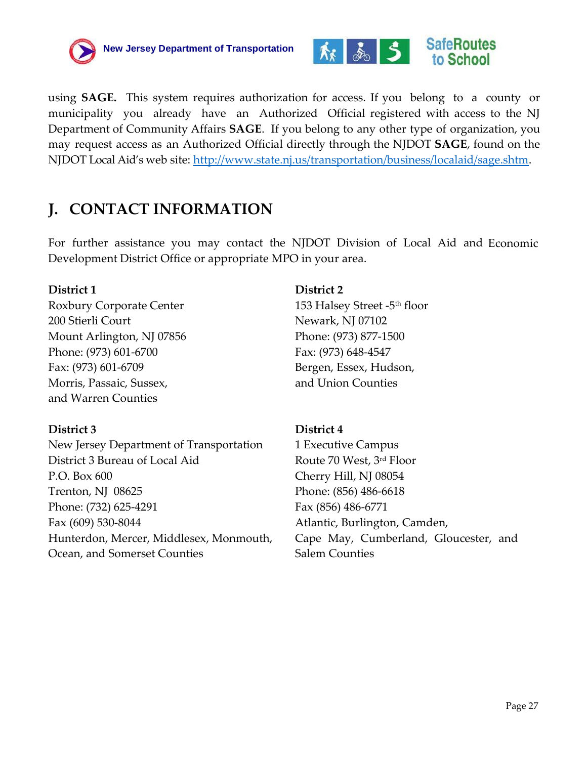



using **SAGE.** This system requires authorization for access. If you belong to a county or municipality you already have an Authorized Official registered with access to the NJ Department of Community Affairs **SAGE**. If you belong to any other type of organization, you may request access as an Authorized Official directly through the NJDOT **SAGE**, found on the NJDOT Local Aid's web site: [http://www.state.nj.us/transportation/business/localaid/sage.shtm.](http://www.state.nj.us/transportation/business/localaid/sage.shtm)

## **J. CONTACT INFORMATION**

For further assistance you may contact the NJDOT Division of Local Aid and Economic Development District Office or appropriate MPO in your area.

#### **District 1**

Roxbury Corporate Center 200 Stierli Court Mount Arlington, NJ 07856 Phone: (973) 601-6700 Fax: (973) 601-6709 Morris, Passaic, Sussex, and Warren Counties

#### **District 3**

New Jersey Department of Transportation District 3 Bureau of Local Aid P.O. Box 600 Trenton, NJ 08625 Phone: (732) 625-4291 Fax (609) 530-8044 Hunterdon, Mercer, Middlesex, Monmouth, Ocean, and Somerset Counties

#### **District 2**

153 Halsey Street -5 th floor Newark, NJ 07102 Phone: (973) 877-1500 Fax: (973) 648-4547 Bergen, Essex, Hudson, and Union Counties

#### **District 4**

1 Executive Campus Route 70 West, 3rd Floor Cherry Hill, NJ 08054 Phone: (856) 486-6618 Fax (856) 486-6771 Atlantic, Burlington, Camden, Cape May, Cumberland, Gloucester, and Salem Counties